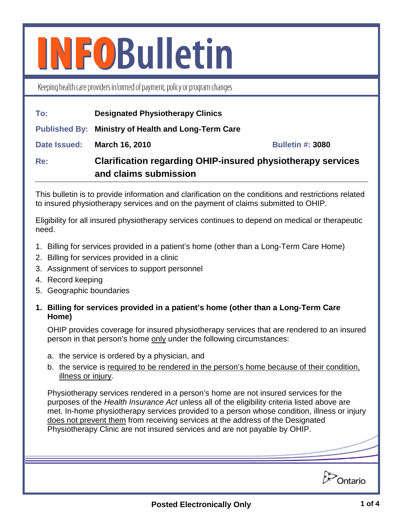# **INFOBulletin**

Keeping health care providers informed of payment, policy or program changes

| To:          | <b>Designated Physiotherapy Clinics</b>                                                     |                         |
|--------------|---------------------------------------------------------------------------------------------|-------------------------|
|              | <b>Published By: Ministry of Health and Long-Term Care</b>                                  |                         |
| Date Issued: | <b>March 16, 2010</b>                                                                       | <b>Bulletin #: 3080</b> |
| Re:          | <b>Clarification regarding OHIP-insured physiotherapy services</b><br>and claims submission |                         |

This bulletin is to provide information and clarification on the conditions and restrictions related to insured physiotherapy services and on the payment of claims submitted to OHIP.

Eligibility for all insured physiotherapy services continues to depend on medical or therapeutic need.

- 1. Billing for services provided in a patient's home (other than a Long-Term Care Home)
- 2. Billing for services provided in a clinic
- 3. Assignment of services to support personnel
- 4. Record keeping
- 5. Geographic boundaries
- **1. Billing for services provided in a patient's home (other than a Long-Term Care Home)**

OHIP provides coverage for insured physiotherapy services that are rendered to an insured person in that person's home only under the following circumstances:

- a. the service is ordered by a physician, and
- b. the service is required to be rendered in the person's home because of their condition, illness or injury.

Physiotherapy services rendered in a person's home are not insured services for the purposes of the *Health Insurance Act* unless all of the eligibility criteria listed above are met. In-home physiotherapy services provided to a person whose condition, illness or injury does not prevent them from receiving services at the address of the Designated Physiotherapy Clinic are not insured services and are not payable by OHIP.

**Dontario**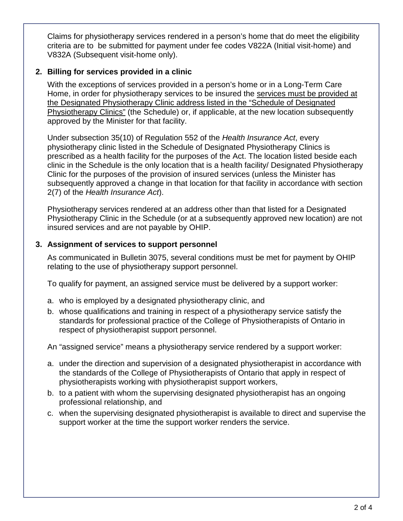Claims for physiotherapy services rendered in a person's home that do meet the eligibility criteria are to be submitted for payment under fee codes V822A (Initial visit-home) and V832A (Subsequent visit-home only).

# **2. Billing for services provided in a clinic**

With the exceptions of services provided in a person's home or in a Long-Term Care Home, in order for physiotherapy services to be insured the services must be provided at the Designated Physiotherapy Clinic address listed in the "Schedule of Designated Physiotherapy Clinics" (the Schedule) or, if applicable, at the new location subsequently approved by the Minister for that facility.

Under subsection 35(10) of Regulation 552 of the *Health Insurance Act*, every physiotherapy clinic listed in the Schedule of Designated Physiotherapy Clinics is prescribed as a health facility for the purposes of the Act. The location listed beside each clinic in the Schedule is the only location that is a health facility/ Designated Physiotherapy Clinic for the purposes of the provision of insured services (unless the Minister has subsequently approved a change in that location for that facility in accordance with section 2(7) of the *Health Insurance Act*).

Physiotherapy services rendered at an address other than that listed for a Designated Physiotherapy Clinic in the Schedule (or at a subsequently approved new location) are not insured services and are not payable by OHIP.

# **3. Assignment of services to support personnel**

As communicated in Bulletin 3075, several conditions must be met for payment by OHIP relating to the use of physiotherapy support personnel.

To qualify for payment, an assigned service must be delivered by a support worker:

- a. who is employed by a designated physiotherapy clinic, and
- b. whose qualifications and training in respect of a physiotherapy service satisfy the standards for professional practice of the College of Physiotherapists of Ontario in respect of physiotherapist support personnel.

An "assigned service" means a physiotherapy service rendered by a support worker:

- a. under the direction and supervision of a designated physiotherapist in accordance with the standards of the College of Physiotherapists of Ontario that apply in respect of physiotherapists working with physiotherapist support workers,
- b. to a patient with whom the supervising designated physiotherapist has an ongoing professional relationship, and
- c. when the supervising designated physiotherapist is available to direct and supervise the support worker at the time the support worker renders the service.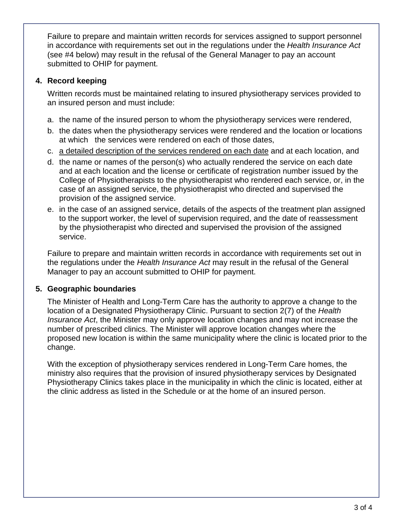Failure to prepare and maintain written records for services assigned to support personnel in accordance with requirements set out in the regulations under the *Health Insurance Act* (see #4 below) may result in the refusal of the General Manager to pay an account submitted to OHIP for payment.

### **4. Record keeping**

Written records must be maintained relating to insured physiotherapy services provided to an insured person and must include:

- a. the name of the insured person to whom the physiotherapy services were rendered,
- b. the dates when the physiotherapy services were rendered and the location or locations at which the services were rendered on each of those dates,
- c. a detailed description of the services rendered on each date and at each location, and
- d. the name or names of the person(s) who actually rendered the service on each date and at each location and the license or certificate of registration number issued by the College of Physiotherapists to the physiotherapist who rendered each service, or, in the case of an assigned service, the physiotherapist who directed and supervised the provision of the assigned service.
- e. in the case of an assigned service, details of the aspects of the treatment plan assigned to the support worker, the level of supervision required, and the date of reassessment by the physiotherapist who directed and supervised the provision of the assigned service.

Failure to prepare and maintain written records in accordance with requirements set out in the regulations under the *Health Insurance Act* may result in the refusal of the General Manager to pay an account submitted to OHIP for payment.

# **5. Geographic boundaries**

The Minister of Health and Long-Term Care has the authority to approve a change to the location of a Designated Physiotherapy Clinic. Pursuant to section 2(7) of the *Health Insurance Act*, the Minister may only approve location changes and may not increase the number of prescribed clinics. The Minister will approve location changes where the proposed new location is within the same municipality where the clinic is located prior to the change.

With the exception of physiotherapy services rendered in Long-Term Care homes, the ministry also requires that the provision of insured physiotherapy services by Designated Physiotherapy Clinics takes place in the municipality in which the clinic is located, either at the clinic address as listed in the Schedule or at the home of an insured person.